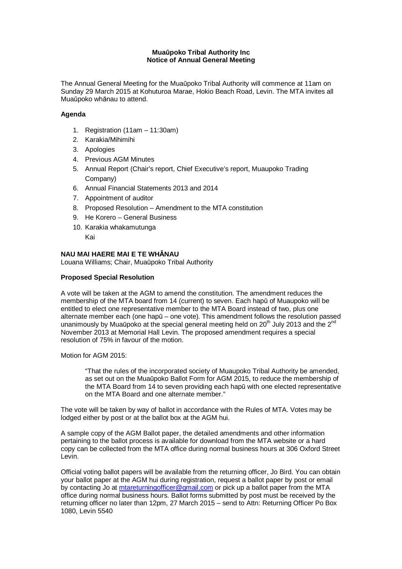## **Mua**ū**poko Tribal Authority Inc Notice of Annual General Meeting**

The Annual General Meeting for the Muaūpoko Tribal Authority will commence at 11am on Sunday 29 March 2015 at Kohuturoa Marae, Hokio Beach Road, Levin. The MTA invites all Muaūpoko whānau to attend.

## **Agenda**

- 1. Registration (11am 11:30am)
- 2. Karakia/Mihimihi
- 3. Apologies
- 4. Previous AGM Minutes
- 5. Annual Report (Chair's report, Chief Executive's report, Muaupoko Trading Company)
- 6. Annual Financial Statements 2013 and 2014
- 7. Appointment of auditor
- 8. Proposed Resolution Amendment to the MTA constitution
- 9. He Korero General Business
- 10. Karakia whakamutunga
	- Kai

## **NAU MAI HAERE MAI E TE WH**Ā**NAU**

Louana Williams; Chair, Muaūpoko Tribal Authority

## **Proposed Special Resolution**

A vote will be taken at the AGM to amend the constitution. The amendment reduces the membership of the MTA board from 14 (current) to seven. Each hapū of Muaupoko will be entitled to elect one representative member to the MTA Board instead of two, plus one alternate member each (one hapū – one vote). This amendment follows the resolution passed unanimously by Muaūpoko at the special general meeting held on  $20<sup>th</sup>$  July 2013 and the  $2<sup>nd</sup>$ November 2013 at Memorial Hall Levin. The proposed amendment requires a special resolution of 75% in favour of the motion.

Motion for AGM 2015:

"That the rules of the incorporated society of Muaupoko Tribal Authority be amended, as set out on the Muaūpoko Ballot Form for AGM 2015, to reduce the membership of the MTA Board from 14 to seven providing each hapū with one elected representative on the MTA Board and one alternate member."

The vote will be taken by way of ballot in accordance with the Rules of MTA. Votes may be lodged either by post or at the ballot box at the AGM hui.

A sample copy of the AGM Ballot paper, the detailed amendments and other information pertaining to the ballot process is available for download from the MTA website or a hard copy can be collected from the MTA office during normal business hours at 306 Oxford Street Levin.

Official voting ballot papers will be available from the returning officer, Jo Bird. You can obtain your ballot paper at the AGM hui during registration, request a ballot paper by post or email by contacting Jo at mtareturningofficer@gmail.com or pick up a ballot paper from the MTA office during normal business hours. Ballot forms submitted by post must be received by the returning officer no later than 12pm, 27 March 2015 – send to Attn: Returning Officer Po Box 1080, Levin 5540